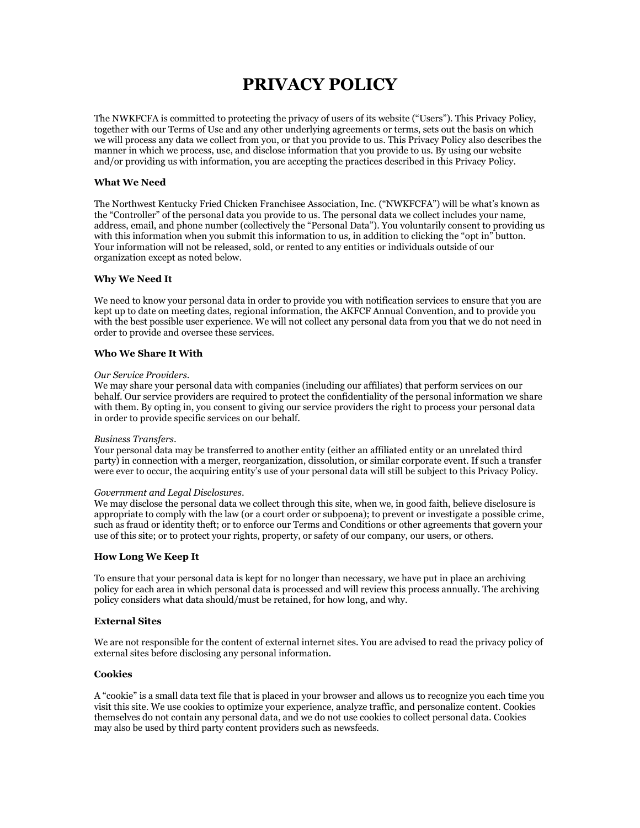# **PRIVACY POLICY**

The NWKFCFA is committed to protecting the privacy of users of its website ("Users"). This Privacy Policy, together with our Terms of Use and any other underlying agreements or terms, sets out the basis on which we will process any data we collect from you, or that you provide to us. This Privacy Policy also describes the manner in which we process, use, and disclose information that you provide to us. By using our website and/or providing us with information, you are accepting the practices described in this Privacy Policy.

## **What We Need**

The Northwest Kentucky Fried Chicken Franchisee Association, Inc. ("NWKFCFA") will be what's known as the "Controller" of the personal data you provide to us. The personal data we collect includes your name, address, email, and phone number (collectively the "Personal Data"). You voluntarily consent to providing us with this information when you submit this information to us, in addition to clicking the "opt in" button. Your information will not be released, sold, or rented to any entities or individuals outside of our organization except as noted below.

## **Why We Need It**

We need to know your personal data in order to provide you with notification services to ensure that you are kept up to date on meeting dates, regional information, the AKFCF Annual Convention, and to provide you with the best possible user experience. We will not collect any personal data from you that we do not need in order to provide and oversee these services.

## **Who We Share It With**

#### *Our Service Providers*.

We may share your personal data with companies (including our affiliates) that perform services on our behalf. Our service providers are required to protect the confidentiality of the personal information we share with them. By opting in, you consent to giving our service providers the right to process your personal data in order to provide specific services on our behalf.

#### *Business Transfers*.

Your personal data may be transferred to another entity (either an affiliated entity or an unrelated third party) in connection with a merger, reorganization, dissolution, or similar corporate event. If such a transfer were ever to occur, the acquiring entity's use of your personal data will still be subject to this Privacy Policy.

#### *Government and Legal Disclosures*.

We may disclose the personal data we collect through this site, when we, in good faith, believe disclosure is appropriate to comply with the law (or a court order or subpoena); to prevent or investigate a possible crime, such as fraud or identity theft; or to enforce our Terms and Conditions or other agreements that govern your use of this site; or to protect your rights, property, or safety of our company, our users, or others.

### **How Long We Keep It**

To ensure that your personal data is kept for no longer than necessary, we have put in place an archiving policy for each area in which personal data is processed and will review this process annually. The archiving policy considers what data should/must be retained, for how long, and why.

### **External Sites**

We are not responsible for the content of external internet sites. You are advised to read the privacy policy of external sites before disclosing any personal information.

#### **Cookies**

A "cookie" is a small data text file that is placed in your browser and allows us to recognize you each time you visit this site. We use cookies to optimize your experience, analyze traffic, and personalize content. Cookies themselves do not contain any personal data, and we do not use cookies to collect personal data. Cookies may also be used by third party content providers such as newsfeeds.